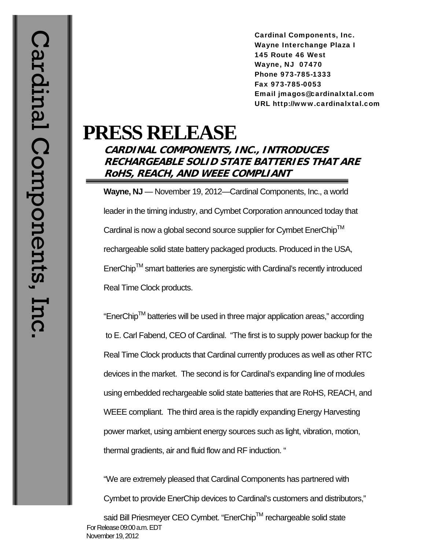Cardinal Components, Inc. Wayne Interchange Plaza I 145 Route 46 West Wayne, NJ 07470 Phone 973-785-1333 Fax 973-785-0053 Email jmagos@cardinalxtal.com URL http://www.cardinalxtal.com

## **PRESS RELEASE**

## **CARDINAL COMPONENTS, INC., INTRODUCES RECHARGEABLE SOLID STATE BATTERIES THAT ARE RoHS, REACH, AND WEEE COMPLIANT**

**Wayne, NJ** — November 19, 2012—Cardinal Components, Inc., a world leader in the timing industry, and Cymbet Corporation announced today that Cardinal is now a global second source supplier for Cymbet EnerChip<sup>TM</sup> rechargeable solid state battery packaged products. Produced in the USA,  $E$ nerChip<sup>TM</sup> smart batteries are synergistic with Cardinal's recently introduced Real Time Clock products.

"EnerChipTM batteries will be used in three major application areas," according to E. Carl Fabend, CEO of Cardinal. "The first is to supply power backup for the Real Time Clock products that Cardinal currently produces as well as other RTC devices in the market. The second is for Cardinal's expanding line of modules using embedded rechargeable solid state batteries that are RoHS, REACH, and WEEE compliant. The third area is the rapidly expanding Energy Harvesting power market, using ambient energy sources such as light, vibration, motion, thermal gradients, air and fluid flow and RF induction. "

"We are extremely pleased that Cardinal Components has partnered with Cymbet to provide EnerChip devices to Cardinal's customers and distributors,"

 For Release 09:00 a.m. EDT November 19, 2012 said Bill Priesmeyer CEO Cymbet. "EnerChip™ rechargeable solid state